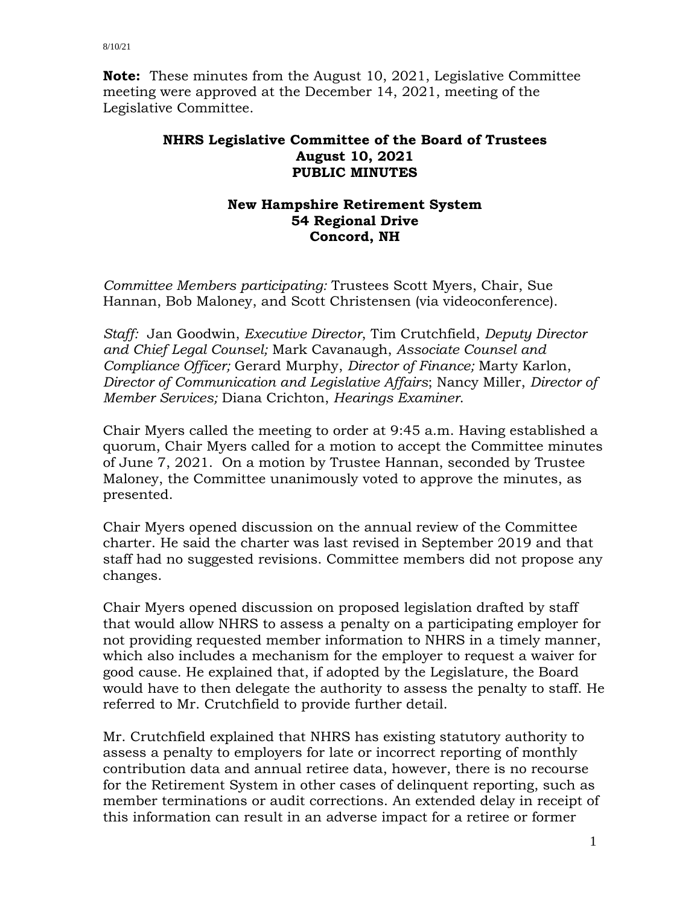**Note:** These minutes from the August 10, 2021, Legislative Committee meeting were approved at the December 14, 2021, meeting of the Legislative Committee.

## **NHRS Legislative Committee of the Board of Trustees August 10, 2021 PUBLIC MINUTES**

## **New Hampshire Retirement System 54 Regional Drive Concord, NH**

*Committee Members participating:* Trustees Scott Myers, Chair, Sue Hannan, Bob Maloney, and Scott Christensen (via videoconference).

*Staff:* Jan Goodwin, *Executive Director*, Tim Crutchfield, *Deputy Director and Chief Legal Counsel;* Mark Cavanaugh, *Associate Counsel and Compliance Officer;* Gerard Murphy, *Director of Finance;* Marty Karlon, *Director of Communication and Legislative Affairs*; Nancy Miller, *Director of Member Services;* Diana Crichton, *Hearings Examiner*.

Chair Myers called the meeting to order at 9:45 a.m. Having established a quorum, Chair Myers called for a motion to accept the Committee minutes of June 7, 2021. On a motion by Trustee Hannan, seconded by Trustee Maloney, the Committee unanimously voted to approve the minutes, as presented.

Chair Myers opened discussion on the annual review of the Committee charter. He said the charter was last revised in September 2019 and that staff had no suggested revisions. Committee members did not propose any changes.

Chair Myers opened discussion on proposed legislation drafted by staff that would allow NHRS to assess a penalty on a participating employer for not providing requested member information to NHRS in a timely manner, which also includes a mechanism for the employer to request a waiver for good cause. He explained that, if adopted by the Legislature, the Board would have to then delegate the authority to assess the penalty to staff. He referred to Mr. Crutchfield to provide further detail.

Mr. Crutchfield explained that NHRS has existing statutory authority to assess a penalty to employers for late or incorrect reporting of monthly contribution data and annual retiree data, however, there is no recourse for the Retirement System in other cases of delinquent reporting, such as member terminations or audit corrections. An extended delay in receipt of this information can result in an adverse impact for a retiree or former